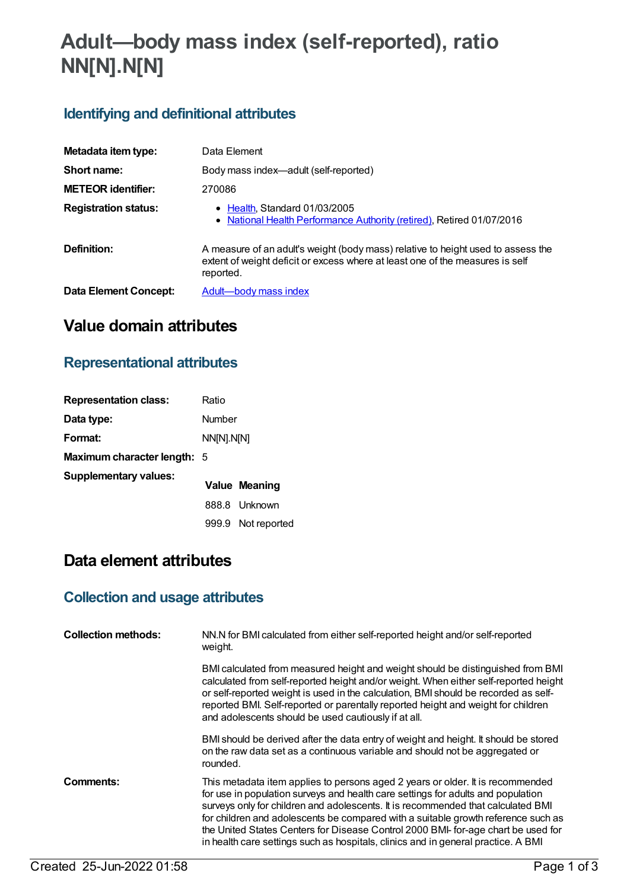# **Adult—body mass index (self-reported), ratio NN[N].N[N]**

## **Identifying and definitional attributes**

| Metadata item type:         | Data Element                                                                                                                                                                   |
|-----------------------------|--------------------------------------------------------------------------------------------------------------------------------------------------------------------------------|
| Short name:                 | Body mass index—adult (self-reported)                                                                                                                                          |
| <b>METEOR identifier:</b>   | 270086                                                                                                                                                                         |
| <b>Registration status:</b> | • Health, Standard 01/03/2005<br>• National Health Performance Authority (retired), Retired 01/07/2016                                                                         |
| Definition:                 | A measure of an adult's weight (body mass) relative to height used to assess the<br>extent of weight deficit or excess where at least one of the measures is self<br>reported. |
| Data Element Concept:       | Adult-body mass index                                                                                                                                                          |

## **Value domain attributes**

#### **Representational attributes**

| <b>Representation class:</b>       | Ratio      |                      |
|------------------------------------|------------|----------------------|
| Data type:                         | Number     |                      |
| Format:                            | NN[N].N[N] |                      |
| <b>Maximum character length: 5</b> |            |                      |
| <b>Supplementary values:</b>       |            | <b>Value Meaning</b> |
|                                    |            | 888.8 Unknown        |
|                                    |            | 999.9 Not reported   |

## **Data element attributes**

#### **Collection and usage attributes**

| <b>Collection methods:</b> | NN.N for BMI calculated from either self-reported height and/or self-reported<br>weight.                                                                                                                                                                                                                                                                                                                                                                                                                              |
|----------------------------|-----------------------------------------------------------------------------------------------------------------------------------------------------------------------------------------------------------------------------------------------------------------------------------------------------------------------------------------------------------------------------------------------------------------------------------------------------------------------------------------------------------------------|
|                            | BMI calculated from measured height and weight should be distinguished from BMI<br>calculated from self-reported height and/or weight. When either self-reported height<br>or self-reported weight is used in the calculation, BMI should be recorded as self-<br>reported BMI. Self-reported or parentally reported height and weight for children<br>and adolescents should be used cautiously if at all.                                                                                                           |
|                            | BMI should be derived after the data entry of weight and height. It should be stored<br>on the raw data set as a continuous variable and should not be aggregated or<br>rounded.                                                                                                                                                                                                                                                                                                                                      |
| Comments:                  | This metadata item applies to persons aged 2 years or older. It is recommended<br>for use in population surveys and health care settings for adults and population<br>surveys only for children and adolescents. It is recommended that calculated BMI<br>for children and adolescents be compared with a suitable growth reference such as<br>the United States Centers for Disease Control 2000 BMI- for-age chart be used for<br>in health care settings such as hospitals, clinics and in general practice. A BMI |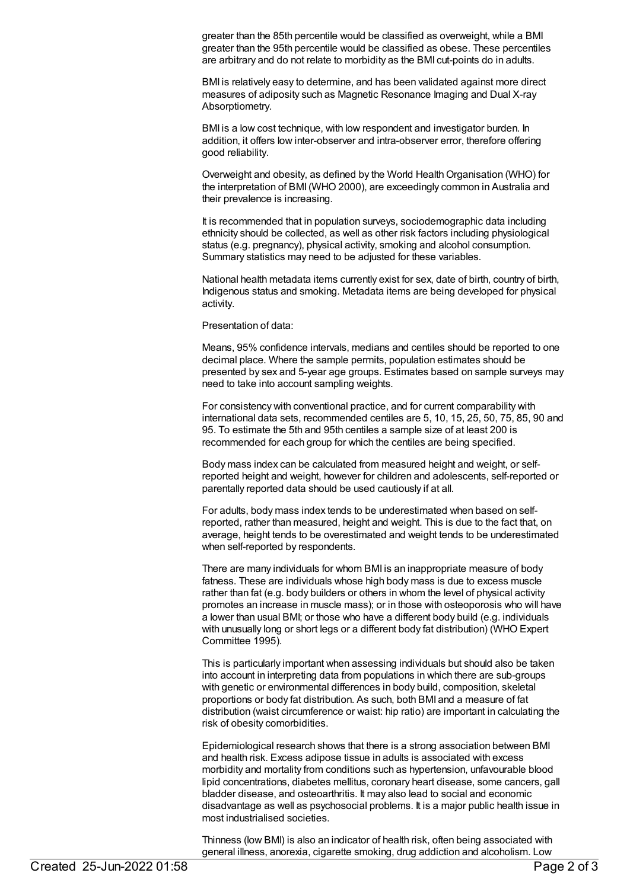greater than the 85th percentile would be classified as overweight, while a BMI greater than the 95th percentile would be classified as obese. These percentiles are arbitrary and do not relate to morbidity as the BMI cut-points do in adults.

BMI is relatively easy to determine, and has been validated against more direct measures of adiposity such as Magnetic Resonance Imaging and Dual X-ray Absorptiometry.

BMI is a low cost technique, with low respondent and investigator burden. In addition, it offers low inter-observer and intra-observer error, therefore offering good reliability.

Overweight and obesity, as defined by the World Health Organisation (WHO) for the interpretation of BMI(WHO 2000), are exceedingly common in Australia and their prevalence is increasing.

It is recommended that in population surveys, sociodemographic data including ethnicity should be collected, as well as other risk factors including physiological status (e.g. pregnancy), physical activity, smoking and alcohol consumption. Summary statistics may need to be adjusted for these variables.

National health metadata items currently exist for sex, date of birth, country of birth, Indigenous status and smoking. Metadata items are being developed for physical activity.

Presentation of data:

Means, 95% confidence intervals, medians and centiles should be reported to one decimal place. Where the sample permits, population estimates should be presented by sex and 5-year age groups. Estimates based on sample surveys may need to take into account sampling weights.

For consistency with conventional practice, and for current comparability with international data sets, recommended centiles are 5, 10, 15, 25, 50, 75, 85, 90 and 95. To estimate the 5th and 95th centiles a sample size of at least 200 is recommended for each group for which the centiles are being specified.

Body mass index can be calculated from measured height and weight, or selfreported height and weight, however for children and adolescents, self-reported or parentally reported data should be used cautiously if at all.

For adults, body mass index tends to be underestimated when based on selfreported, rather than measured, height and weight. This is due to the fact that, on average, height tends to be overestimated and weight tends to be underestimated when self-reported by respondents.

There are many individuals for whom BMI is an inappropriate measure of body fatness. These are individuals whose high body mass is due to excess muscle rather than fat (e.g. body builders or others in whom the level of physical activity promotes an increase in muscle mass); or in those with osteoporosis who will have a lower than usual BMI; or those who have a different body build (e.g. individuals with unusually long or short legs or a different body fat distribution) (WHO Expert Committee 1995).

This is particularly important when assessing individuals but should also be taken into account in interpreting data from populations in which there are sub-groups with genetic or environmental differences in body build, composition, skeletal proportions or body fat distribution. As such, both BMI and a measure of fat distribution (waist circumference or waist: hip ratio) are important in calculating the risk of obesity comorbidities.

Epidemiological research shows that there is a strong association between BMI and health risk. Excess adipose tissue in adults is associated with excess morbidity and mortality from conditions such as hypertension, unfavourable blood lipid concentrations, diabetes mellitus, coronary heart disease, some cancers, gall bladder disease, and osteoarthritis. It may also lead to social and economic disadvantage as well as psychosocial problems. It is a major public health issue in most industrialised societies.

Thinness (low BMI) is also an indicator of health risk, often being associated with general illness, anorexia, cigarette smoking, drug addiction and alcoholism. Low